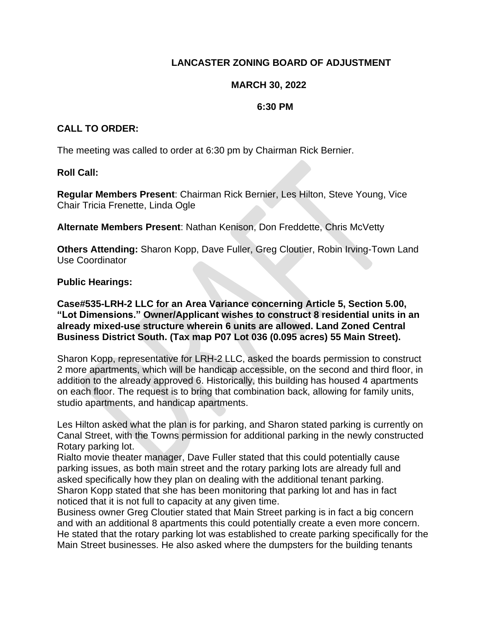# **LANCASTER ZONING BOARD OF ADJUSTMENT**

### **MARCH 30, 2022**

#### **6:30 PM**

## **CALL TO ORDER:**

The meeting was called to order at 6:30 pm by Chairman Rick Bernier.

#### **Roll Call:**

**Regular Members Present**: Chairman Rick Bernier, Les Hilton, Steve Young, Vice Chair Tricia Frenette, Linda Ogle

**Alternate Members Present**: Nathan Kenison, Don Freddette, Chris McVetty

**Others Attending:** Sharon Kopp, Dave Fuller, Greg Cloutier, Robin Irving-Town Land Use Coordinator

#### **Public Hearings:**

**Case#535-LRH-2 LLC for an Area Variance concerning Article 5, Section 5.00, "Lot Dimensions." Owner/Applicant wishes to construct 8 residential units in an already mixed-use structure wherein 6 units are allowed. Land Zoned Central Business District South. (Tax map P07 Lot 036 (0.095 acres) 55 Main Street).**

Sharon Kopp, representative for LRH-2 LLC, asked the boards permission to construct 2 more apartments, which will be handicap accessible, on the second and third floor, in addition to the already approved 6. Historically, this building has housed 4 apartments on each floor. The request is to bring that combination back, allowing for family units, studio apartments, and handicap apartments.

Les Hilton asked what the plan is for parking, and Sharon stated parking is currently on Canal Street, with the Towns permission for additional parking in the newly constructed Rotary parking lot.

Rialto movie theater manager, Dave Fuller stated that this could potentially cause parking issues, as both main street and the rotary parking lots are already full and asked specifically how they plan on dealing with the additional tenant parking. Sharon Kopp stated that she has been monitoring that parking lot and has in fact noticed that it is not full to capacity at any given time.

Business owner Greg Cloutier stated that Main Street parking is in fact a big concern and with an additional 8 apartments this could potentially create a even more concern. He stated that the rotary parking lot was established to create parking specifically for the Main Street businesses. He also asked where the dumpsters for the building tenants